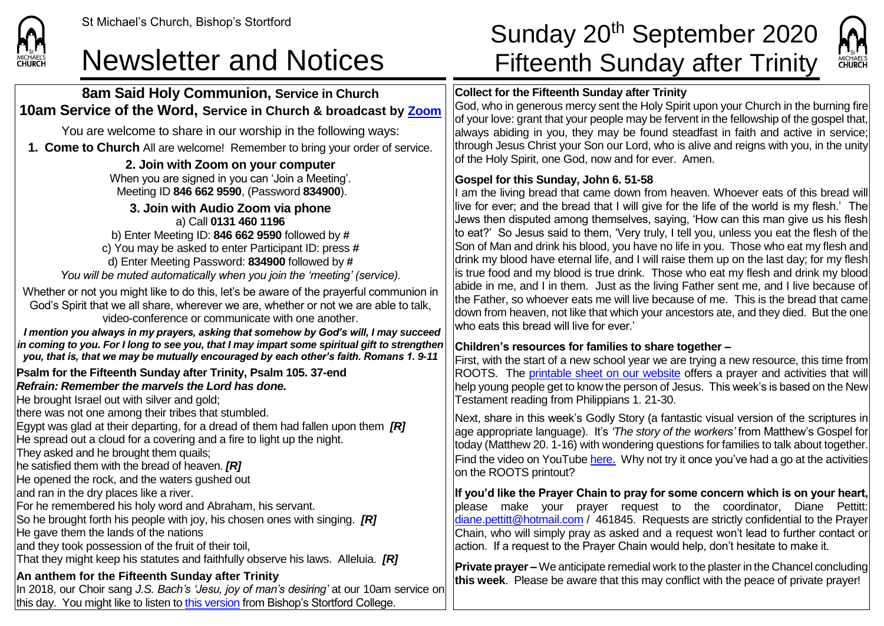

### **8am Said Holy Communion, Service in Church 10am Service of the Word, Service in Church & broadcast by [Zoom](https://zoom.us/)**

You are welcome to share in our worship in the following ways:

**1. Come to Church** All are welcome! Remember to bring your order of service.

#### **2. Join with Zoom on your computer**

When you are signed in you can 'Join a Meeting'. Meeting ID **846 662 9590**, (Password **834900**).

**3. Join with Audio Zoom via phone** a) Call **0131 460 1196** b) Enter Meeting ID: **846 662 9590** followed by **#** c) You may be asked to enter Participant ID: press **#** d) Enter Meeting Password: **834900** followed by **#** *You will be muted automatically when you join the 'meeting' (service).*

Whether or not you might like to do this, let's be aware of the prayerful communion in God's Spirit that we all share, wherever we are, whether or not we are able to talk, video-conference or communicate with one another.

*I mention you always in my prayers, asking that somehow by God's will, I may succeed in coming to you. For I long to see you, that I may impart some spiritual gift to strengthen you, that is, that we may be mutually encouraged by each other's faith. Romans 1. 9-11*

**Psalm for the Fifteenth Sunday after Trinity, Psalm 105. 37-end** *Refrain: Remember the marvels the Lord has done.*

He brought Israel out with silver and gold;

there was not one among their tribes that stumbled.

Egypt was glad at their departing, for a dread of them had fallen upon them *[R]*

He spread out a cloud for a covering and a fire to light up the night.

They asked and he brought them quails;

he satisfied them with the bread of heaven. *[R]*

He opened the rock, and the waters gushed out

and ran in the dry places like a river.

For he remembered his holy word and Abraham, his servant.

So he brought forth his people with joy, his chosen ones with singing. *[R]*

He gave them the lands of the nations

and they took possession of the fruit of their toil,

That they might keep his statutes and faithfully observe his laws. Alleluia. *[R]*

## **An anthem for the Fifteenth Sunday after Trinity**

In 2018, our Choir sang *J.S. Bach's 'Jesu, joy of man's desiring'* at our 10am service on this day. You might like to listen to [this version](https://www.youtube.com/watch?v=doJ2Fd6JRpQ) from Bishop's Stortford College.

# St Michael's Church, Bishop's Stortford **Sunday 20<sup>th</sup> September 2020** Newsletter and Notices Fifteenth Sunday after Trinity

## **Collect for the Fifteenth Sunday after Trinity**

God, who in generous mercy sent the Holy Spirit upon your Church in the burning fire  $\sigma$  of your love: grant that your people may be fervent in the fellowship of the gospel that, always abiding in you, they may be found steadfast in faith and active in service; through Jesus Christ your Son our Lord, who is alive and reigns with you, in the unity of the Holy Spirit, one God, now and for ever. Amen.

### **Gospel for this Sunday, John 6. 51-58**

I am the living bread that came down from heaven. Whoever eats of this bread will live for ever; and the bread that I will give for the life of the world is my flesh.' The Jews then disputed among themselves, saying, 'How can this man give us his flesh to eat?' So Jesus said to them, 'Very truly, I tell you, unless you eat the flesh of the Son of Man and drink his blood, you have no life in you. Those who eat my flesh and drink my blood have eternal life, and I will raise them up on the last day; for my flesh is true food and my blood is true drink. Those who eat my flesh and drink my blood abide in me, and I in them. Just as the living Father sent me, and I live because of the Father, so whoever eats me will live because of me. This is the bread that came down from heaven, not like that which your ancestors ate, and they died. But the one who eats this bread will live for ever.'

#### **Children's resources for families to share together –**

First, with the start of a new school year we are trying a new resource, this time from ROOTS. The [printable sheet on our website](https://saintmichaelweb.org.uk/Articles/542815/_Newsletter.aspx) offers a prayer and activities that will help young people get to know the person of Jesus. This week's is based on the New Testament reading from Philippians 1. 21-30.

Next, share in this week's Godly Story (a fantastic visual version of the scriptures in age appropriate language). It's *'The story of the workers'* from Matthew's Gospel for today (Matthew 20. 1-16) with wondering questions for families to talk about together. Find the video on YouTube [here](https://www.youtube.com/watch?v=0craw4O3S48). Why not try it once you've had a go at the activities on the ROOTS printout?

**If you'd like the Prayer Chain to pray for some concern which is on your heart,** please make your prayer request to the coordinator, Diane Pettitt: [diane.pettitt@hotmail.com](mailto:diane.pettitt@hotmail.com) / 461845. Requests are strictly confidential to the Prayer Chain, who will simply pray as asked and a request won't lead to further contact or action. If a request to the Prayer Chain would help, don't hesitate to make it.

**Private prayer –** We anticipate remedial work to the plaster in the Chancel concluding **this week**. Please be aware that this may conflict with the peace of private prayer!